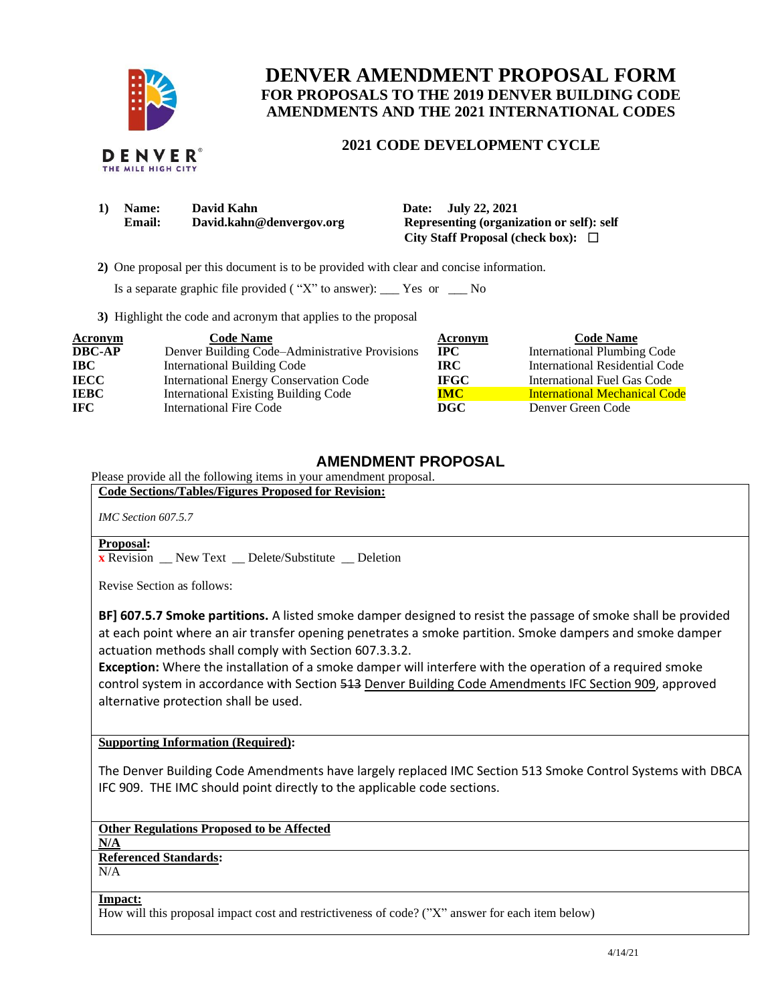

DENVER THE MILE HIGH CITY

# **DENVER AMENDMENT PROPOSAL FORM FOR PROPOSALS TO THE 2019 DENVER BUILDING CODE AMENDMENTS AND THE 2021 INTERNATIONAL CODES**

### **2021 CODE DEVELOPMENT CYCLE**

| <b>Name:</b> | David Kahn               | Date: July 22, 2021                       |
|--------------|--------------------------|-------------------------------------------|
| Email:       | David.kahn@denvergov.org | Representing (organization or self): self |
|              |                          | City Staff Proposal (check box): $\Box$   |

 **2)** One proposal per this document is to be provided with clear and concise information.

Is a separate graphic file provided ( $"X"$  to answer): \_\_\_ Yes or \_\_\_ No

**3)** Highlight the code and acronym that applies to the proposal

| <b>Acronym</b> | <b>Code Name</b>                               | <b>Acronym</b> | <b>Code Name</b>                     |
|----------------|------------------------------------------------|----------------|--------------------------------------|
| <b>DBC-AP</b>  | Denver Building Code–Administrative Provisions | $_{\rm IPC}$   | <b>International Plumbing Code</b>   |
| <b>IBC</b>     | <b>International Building Code</b>             | <b>IRC</b>     | International Residential Code       |
| <b>IECC</b>    | International Energy Conservation Code         | <b>IFGC</b>    | International Fuel Gas Code          |
| <b>IEBC</b>    | <b>International Existing Building Code</b>    | <b>IMC</b>     | <b>International Mechanical Code</b> |
| <b>IFC</b>     | International Fire Code                        | DGC            | Denver Green Code                    |

### **AMENDMENT PROPOSAL**

Please provide all the following items in your amendment proposal. **Code Sections/Tables/Figures Proposed for Revision:**

*IMC Section 607.5.7*

#### **Proposal:**

**x** Revision \_\_ New Text \_\_ Delete/Substitute \_\_ Deletion

Revise Section as follows:

**BF] 607.5.7 Smoke partitions.** A listed smoke damper designed to resist the passage of smoke shall be provided at each point where an air transfer opening penetrates a smoke partition. Smoke dampers and smoke damper actuation methods shall comply with Section 607.3.3.2.

**Exception:** Where the installation of a smoke damper will interfere with the operation of a required smoke control system in accordance with Section 513 Denver Building Code Amendments IFC Section 909, approved alternative protection shall be used.

### **Supporting Information (Required):**

The Denver Building Code Amendments have largely replaced IMC Section 513 Smoke Control Systems with DBCA IFC 909. THE IMC should point directly to the applicable code sections.

**Other Regulations Proposed to be Affected**

**N/A**

## **Referenced Standards:**

 $N/A$ 

**Impact:**

How will this proposal impact cost and restrictiveness of code? ("X" answer for each item below)